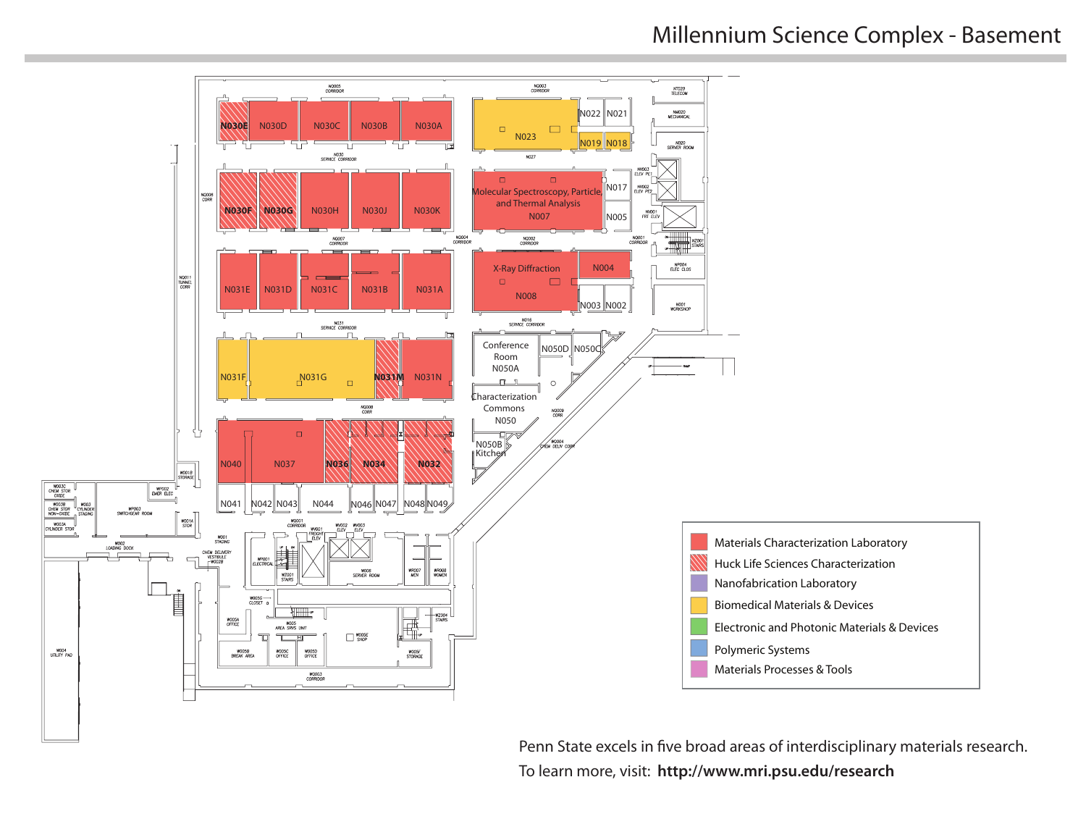## Millennium Science Complex - Basement

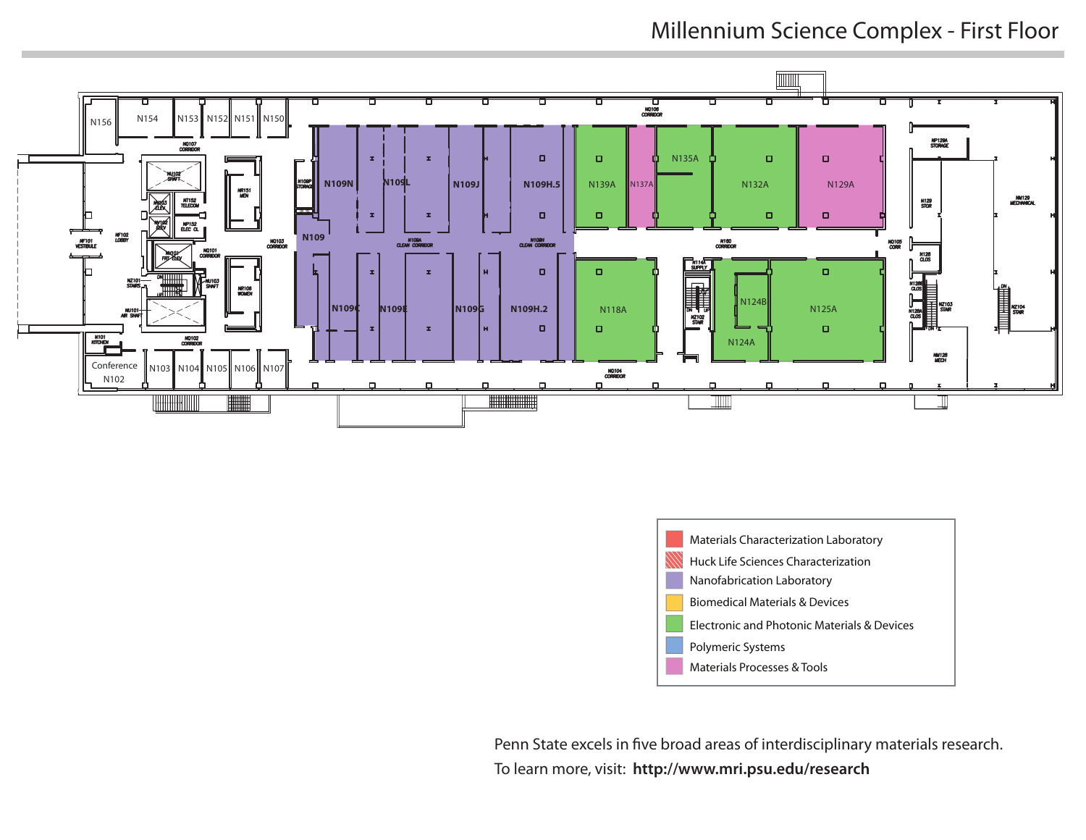Millennium Science Complex - First Floor



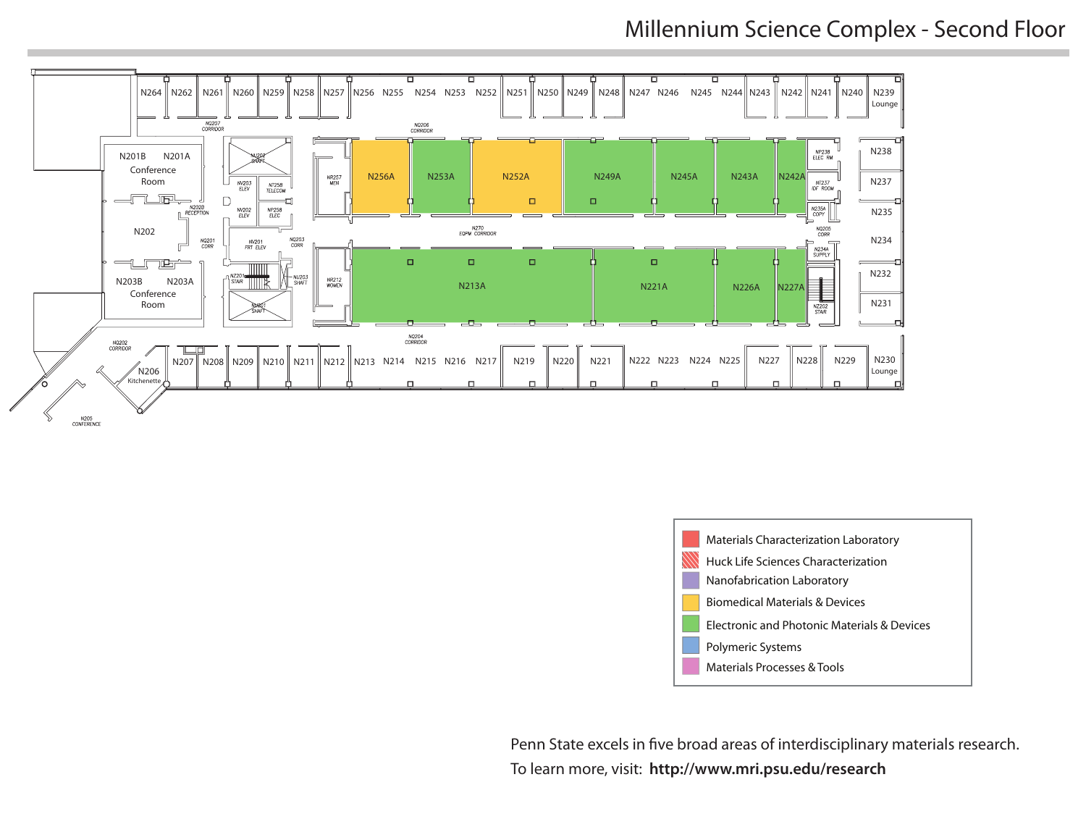## Millennium Science Complex - Second Floor